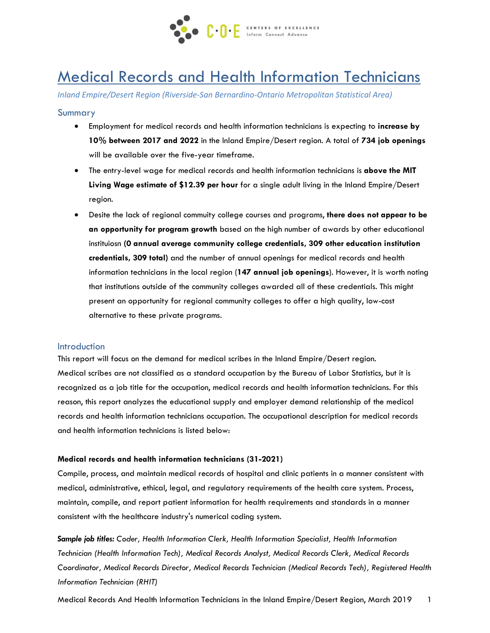

# Medical Records and Health Information Technicians

*Inland Empire/Desert Region (Riverside-San Bernardino-Ontario Metropolitan Statistical Area)* 

### Summary

- Employment for medical records and health information technicians is expecting to **increase by 10% between 2017 and 2022** in the Inland Empire/Desert region. A total of **734 job openings** will be available over the five-year timeframe.
- The entry-level wage for medical records and health information technicians is **above the MIT Living Wage estimate of \$12.39 per hour** for a single adult living in the Inland Empire/Desert region.
- Desite the lack of regional commuity college courses and programs, **there does not appear to be an opportunity for program growth** based on the high number of awards by other educational instituiosn **(0 annual average community college credentials, 309 other education institution credentials, 309 total)** and the number of annual openings for medical records and health information technicians in the local region (**147 annual job openings**). However, it is worth noting that institutions outside of the community colleges awarded all of these credentials. This might present an opportunity for regional community colleges to offer a high quality, low-cost alternative to these private programs.

#### Introduction

This report will focus on the demand for medical scribes in the Inland Empire/Desert region. Medical scribes are not classified as a standard occupation by the Bureau of Labor Statistics, but it is recognized as a job title for the occupation, medical records and health information technicians. For this reason, this report analyzes the educational supply and employer demand relationship of the medical records and health information technicians occupation. The occupational description for medical records and health information technicians is listed below:

#### **Medical records and health information technicians (31-2021)**

Compile, process, and maintain medical records of hospital and clinic patients in a manner consistent with medical, administrative, ethical, legal, and regulatory requirements of the health care system. Process, maintain, compile, and report patient information for health requirements and standards in a manner consistent with the healthcare industry's numerical coding system.

*Sample job titles: Coder, Health Information Clerk, Health Information Specialist, Health Information Technician (Health Information Tech), Medical Records Analyst, Medical Records Clerk, Medical Records Coordinator, Medical Records Director, Medical Records Technician (Medical Records Tech), Registered Health Information Technician (RHIT)*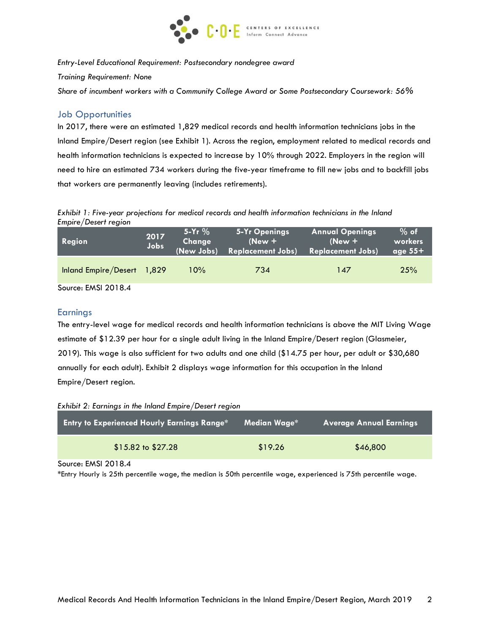

*Entry-Level Educational Requirement: Postsecondary nondegree award*

*Training Requirement: None*

*Share of incumbent workers with a Community College Award or Some Postsecondary Coursework: 56%*

## Job Opportunities

In 2017, there were an estimated 1,829 medical records and health information technicians jobs in the Inland Empire/Desert region (see Exhibit 1). Across the region, employment related to medical records and health information technicians is expected to increase by 10% through 2022. Employers in the region will need to hire an estimated 734 workers during the five-year timeframe to fill new jobs and to backfill jobs that workers are permanently leaving (includes retirements).

*Exhibit 1: Five-year projections for medical records and health information technicians in the Inland Empire/Desert region*

| Region                     | (New Jobs) | $(New +$                 | $(New + 1)$              | workers   |
|----------------------------|------------|--------------------------|--------------------------|-----------|
| Jobs                       |            | <b>Replacement Jobs)</b> | <b>Replacement Jobs)</b> | age $55+$ |
| Inland Empire/Desert 1,829 | 10%        | 734                      | 147                      | 25%       |

Source: EMSI 2018.4

## **Earnings**

The entry-level wage for medical records and health information technicians is above the MIT Living Wage estimate of \$12.39 per hour for a single adult living in the Inland Empire/Desert region (Glasmeier, 2019). This wage is also sufficient for two adults and one child (\$14.75 per hour, per adult or \$30,680 annually for each adult). Exhibit 2 displays wage information for this occupation in the Inland Empire/Desert region.

*Exhibit 2: Earnings in the Inland Empire/Desert region*

| <b>Entry to Experienced Hourly Earnings Range*</b> | " Median Wage* | <b>Average Annual Earnings</b> |
|----------------------------------------------------|----------------|--------------------------------|
| $$15.82$ to $$27.28$                               | \$19.26        | \$46,800                       |

Source: EMSI 2018.4

\*Entry Hourly is 25th percentile wage, the median is 50th percentile wage, experienced is 75th percentile wage.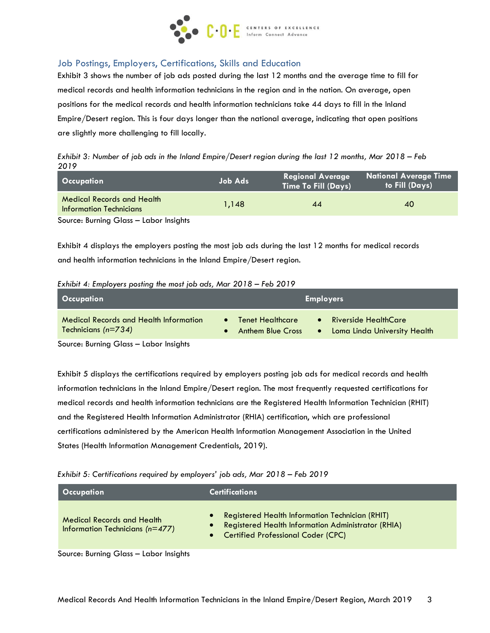

# Job Postings, Employers, Certifications, Skills and Education

Exhibit 3 shows the number of job ads posted during the last 12 months and the average time to fill for medical records and health information technicians in the region and in the nation. On average, open positions for the medical records and health information technicians take 44 days to fill in the Inland Empire/Desert region. This is four days longer than the national average, indicating that open positions are slightly more challenging to fill locally.

*Exhibit 3: Number of job ads in the Inland Empire/Desert region during the last 12 months, Mar 2018 – Feb 2019*

| Occupation                                                          | Job Ads | <b>Regional Average</b><br><b>Time To Fill (Days)</b> | National Average Time<br>to Fill (Days) |
|---------------------------------------------------------------------|---------|-------------------------------------------------------|-----------------------------------------|
| <b>Medical Records and Health</b><br><b>Information Technicians</b> | 1.148   | 44                                                    | 40                                      |
| Source: Burning Glass - Labor Insights                              |         |                                                       |                                         |

Exhibit 4 displays the employers posting the most job ads during the last 12 months for medical records and health information technicians in the Inland Empire/Desert region.

#### *Exhibit 4: Employers posting the most job ads, Mar 2018 – Feb 2019*

| <b>Occupation</b>                                                      | <b>Employers</b>                                                                                                                |
|------------------------------------------------------------------------|---------------------------------------------------------------------------------------------------------------------------------|
| <b>Medical Records and Health Information</b><br>Technicians $(n=734)$ | <b>Riverside HealthCare</b><br><b>Tenet Healthcare</b><br>$\bullet$<br>Loma Linda University Health<br><b>Anthem Blue Cross</b> |

Source: Burning Glass – Labor Insights

Exhibit 5 displays the certifications required by employers posting job ads for medical records and health information technicians in the Inland Empire/Desert region. The most frequently requested certifications for medical records and health information technicians are the Registered Health Information Technician (RHIT) and the [Registered Health Information Administrator \(RHIA\) certification, which are professional](https://www.ahima.org/certification/RHIA)  [certifications administered by the American Health Information Management Association in the United](https://www.ahima.org/certification/RHIA)  [States \(Health Information Management Credentials, 2019\).](https://www.ahima.org/certification/RHIA)

*Exhibit 5: Certifications required by employers' job ads, Mar 2018 – Feb 2019*

| Occupation                                                               | <b>Certifications</b>                                                                                                                                            |  |  |
|--------------------------------------------------------------------------|------------------------------------------------------------------------------------------------------------------------------------------------------------------|--|--|
| <b>Medical Records and Health</b><br>Information Technicians ( $n=477$ ) | <b>Registered Health Information Technician (RHIT)</b><br><b>Registered Health Information Administrator (RHIA)</b><br><b>Certified Professional Coder (CPC)</b> |  |  |

Source: Burning Glass – Labor Insights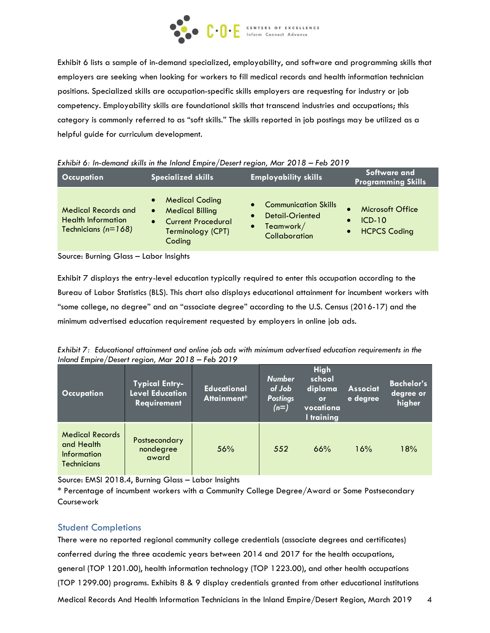

Exhibit 6 lists a sample of in-demand specialized, employability, and software and programming skills that employers are seeking when looking for workers to fill medical records and health information technician positions. Specialized skills are occupation-specific skills employers are requesting for industry or job competency. Employability skills are foundational skills that transcend industries and occupations; this category is commonly referred to as "soft skills." The skills reported in job postings may be utilized as a helpful guide for curriculum development.

| <b>Occupation</b>                                                                  | Specialized skills                                                                                                                                 | <b>Employability skills</b>                                                                                         | Software and<br><b>Programming Skills</b>                                     |  |
|------------------------------------------------------------------------------------|----------------------------------------------------------------------------------------------------------------------------------------------------|---------------------------------------------------------------------------------------------------------------------|-------------------------------------------------------------------------------|--|
| <b>Medical Records and</b><br><b>Health Information</b><br>Technicians ( $n=168$ ) | <b>Medical Coding</b><br>$\bullet$<br><b>Medical Billing</b><br>$\bullet$<br><b>Current Procedural</b><br>$\bullet$<br>Terminology (CPT)<br>Coding | <b>Communication Skills</b><br>$\bullet$<br>Detail-Oriented<br>$\bullet$<br>Teamwork/<br>$\bullet$<br>Collaboration | Microsoft Office<br>$ICD-10$<br>$\bullet$<br><b>HCPCS Coding</b><br>$\bullet$ |  |

Source: Burning Glass – Labor Insights

Exhibit 7 displays the entry-level education typically required to enter this occupation according to the Bureau of Labor Statistics (BLS). This chart also displays educational attainment for incumbent workers with "some college, no degree" and an "associate degree" according to the U.S. Census (2016-17) and the minimum advertised education requirement requested by employers in online job ads.

*Exhibit 7: Educational attainment and online job ads with minimum advertised education requirements in the Inland Empire/Desert region, Mar 2018 – Feb 2019*

| <b>Occupation</b>                                                                | <b>Typical Entry-</b><br><b>Level Education</b><br><b>Requirement</b> | <b>Educational</b><br>Attainment* | <b>Number</b><br>of Job<br><b>Postings</b><br>$(n=)$ | High<br>school<br>diploma<br>or<br>vocationa<br>I training | <b>Associat</b><br>e degree | <b>Bachelor's</b><br>degree or<br>higher |
|----------------------------------------------------------------------------------|-----------------------------------------------------------------------|-----------------------------------|------------------------------------------------------|------------------------------------------------------------|-----------------------------|------------------------------------------|
| <b>Medical Records</b><br>and Health<br><b>Information</b><br><b>Technicians</b> | Postsecondary<br>nondegree<br>award                                   | 56%                               | 552                                                  | 66%                                                        | 16%                         | 18%                                      |

Source: EMSI 2018.4, Burning Glass – Labor Insights

\* Percentage of incumbent workers with a Community College Degree/Award or Some Postsecondary Coursework

## Student Completions

Medical Records And Health Information Technicians in the Inland Empire/Desert Region, March 2019 4 There were no reported regional community college credentials (associate degrees and certificates) conferred during the three academic years between 2014 and 2017 for the health occupations, general (TOP 1201.00), health information technology (TOP 1223.00), and other health occupations (TOP 1299.00) programs. Exhibits 8 & 9 display credentials granted from other educational institutions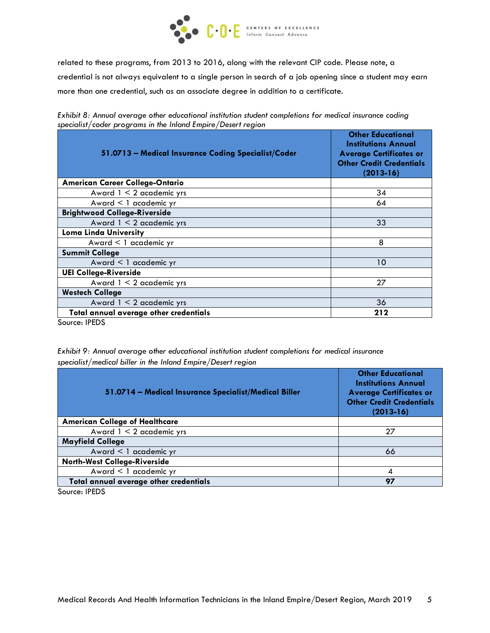

related to these programs, from 2013 to 2016, along with the relevant CIP code. Please note, a credential is not always equivalent to a single person in search of a job opening since a student may earn more than one credential, such as an associate degree in addition to a certificate.

| $p_{\rm c}$ and $p_{\rm c}$ and $p_{\rm c}$ and $p_{\rm c}$ and $p_{\rm c}$ and $p_{\rm c}$ and $p_{\rm c}$ and $p_{\rm c}$ and $p_{\rm c}$<br>51.0713 - Medical Insurance Coding Specialist/Coder | <b>Other Educational</b><br><b>Institutions Annual</b><br><b>Average Certificates or</b><br><b>Other Credit Credentials</b><br>$(2013-16)$ |
|----------------------------------------------------------------------------------------------------------------------------------------------------------------------------------------------------|--------------------------------------------------------------------------------------------------------------------------------------------|
| <b>American Career College-Ontario</b>                                                                                                                                                             |                                                                                                                                            |
| Award $1 < 2$ academic yrs                                                                                                                                                                         | 34                                                                                                                                         |
| Award < 1 academic yr                                                                                                                                                                              | 64                                                                                                                                         |
| <b>Brightwood College-Riverside</b>                                                                                                                                                                |                                                                                                                                            |
| Award $1 < 2$ academic yrs                                                                                                                                                                         | 33                                                                                                                                         |
| <b>Loma Linda University</b>                                                                                                                                                                       |                                                                                                                                            |
| Award < 1 academic yr                                                                                                                                                                              | 8                                                                                                                                          |
| <b>Summit College</b>                                                                                                                                                                              |                                                                                                                                            |
| Award < 1 academic yr                                                                                                                                                                              | 10                                                                                                                                         |
| <b>UEI College-Riverside</b>                                                                                                                                                                       |                                                                                                                                            |
| Award $1 < 2$ academic yrs                                                                                                                                                                         | 27                                                                                                                                         |
| <b>Westech College</b>                                                                                                                                                                             |                                                                                                                                            |
| Award 1 < 2 academic yrs                                                                                                                                                                           | 36                                                                                                                                         |
| Total annual average other credentials                                                                                                                                                             | 212                                                                                                                                        |

*Exhibit 8: Annual average other educational institution student completions for medical insurance coding specialist/coder programs in the Inland Empire/Desert region*

Source: IPEDS

*Exhibit 9: Annual average other educational institution student completions for medical insurance specialist/medical biller in the Inland Empire/Desert region*

| 51.0714 - Medical Insurance Specialist/Medical Biller | <b>Other Educational</b><br><b>Institutions Annual</b><br><b>Average Certificates or</b><br><b>Other Credit Credentials</b><br>$(2013-16)$ |
|-------------------------------------------------------|--------------------------------------------------------------------------------------------------------------------------------------------|
| <b>American College of Healthcare</b>                 |                                                                                                                                            |
| Award $1 < 2$ academic yrs                            | 27                                                                                                                                         |
| <b>Mayfield College</b>                               |                                                                                                                                            |
| Award < 1 academic yr                                 | 66                                                                                                                                         |
| <b>North-West College-Riverside</b>                   |                                                                                                                                            |
| Award < 1 academic yr                                 |                                                                                                                                            |
| Total annual average other credentials                | 97                                                                                                                                         |

Source: IPEDS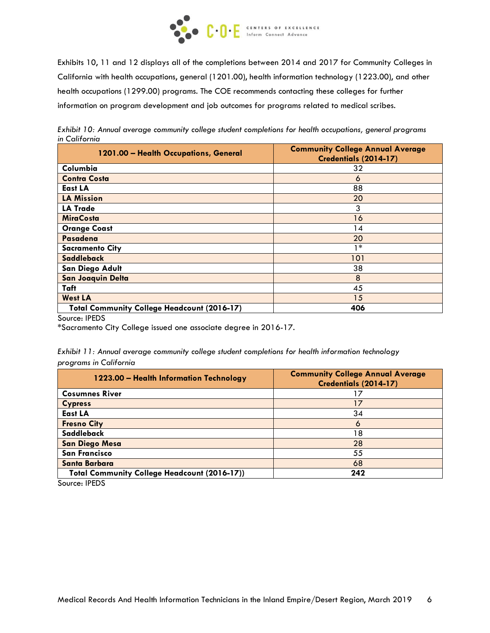

Exhibits 10, 11 and 12 displays all of the completions between 2014 and 2017 for Community Colleges in California with health occupations, general (1201.00), health information technology (1223.00), and other health occupations (1299.00) programs. The COE recommends contacting these colleges for further information on program development and job outcomes for programs related to medical scribes.

*Exhibit 10: Annual average community college student completions for health occupations, general programs in California*

| 1201.00 - Health Occupations, General              | <b>Community College Annual Average</b><br>Credentials (2014-17) |
|----------------------------------------------------|------------------------------------------------------------------|
| Columbia                                           | 32                                                               |
| <b>Contra Costa</b>                                | 6                                                                |
| East LA                                            | 88                                                               |
| <b>LA Mission</b>                                  | 20                                                               |
| <b>LA Trade</b>                                    | 3                                                                |
| <b>MiraCosta</b>                                   | 16                                                               |
| <b>Orange Coast</b>                                | 14                                                               |
| Pasadena                                           | 20                                                               |
| <b>Sacramento City</b>                             | 1*                                                               |
| Saddleback                                         | 101                                                              |
| San Diego Adult                                    | 38                                                               |
| <b>San Joaquin Delta</b>                           | 8                                                                |
| Taft                                               | 45                                                               |
| <b>West LA</b>                                     | 15                                                               |
| <b>Total Community College Headcount (2016-17)</b> | 406                                                              |

Source: IPEDS

\*Sacramento City College issued one associate degree in 2016-17.

| Exhibit 11: Annual average community college student completions for health information technology |  |  |  |  |
|----------------------------------------------------------------------------------------------------|--|--|--|--|
| programs in California                                                                             |  |  |  |  |

| 1223.00 - Health Information Technology             | <b>Community College Annual Average</b><br>Credentials (2014-17) |
|-----------------------------------------------------|------------------------------------------------------------------|
| <b>Cosumnes River</b>                               | 17                                                               |
| <b>Cypress</b>                                      | 17                                                               |
| <b>East LA</b>                                      | 34                                                               |
| <b>Fresno City</b>                                  | 6                                                                |
| Saddleback                                          | 18                                                               |
| <b>San Diego Mesa</b>                               | 28                                                               |
| <b>San Francisco</b>                                | 55                                                               |
| <b>Santa Barbara</b>                                | 68                                                               |
| <b>Total Community College Headcount (2016-17))</b> | 242                                                              |

Source: IPEDS